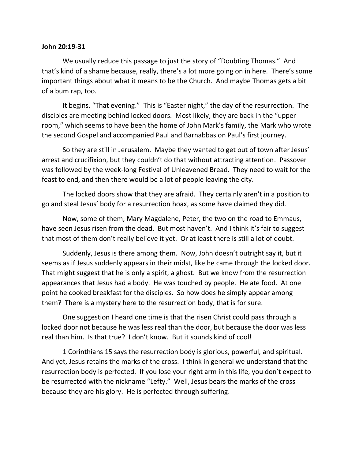## **John 20:19-31**

We usually reduce this passage to just the story of "Doubting Thomas." And that's kind of a shame because, really, there's a lot more going on in here. There's some important things about what it means to be the Church. And maybe Thomas gets a bit of a bum rap, too.

It begins, "That evening." This is "Easter night," the day of the resurrection. The disciples are meeting behind locked doors. Most likely, they are back in the "upper room," which seems to have been the home of John Mark's family, the Mark who wrote the second Gospel and accompanied Paul and Barnabbas on Paul's first journey.

So they are still in Jerusalem. Maybe they wanted to get out of town after Jesus' arrest and crucifixion, but they couldn't do that without attracting attention. Passover was followed by the week-long Festival of Unleavened Bread. They need to wait for the feast to end, and then there would be a lot of people leaving the city.

The locked doors show that they are afraid. They certainly aren't in a position to go and steal Jesus' body for a resurrection hoax, as some have claimed they did.

Now, some of them, Mary Magdalene, Peter, the two on the road to Emmaus, have seen Jesus risen from the dead. But most haven't. And I think it's fair to suggest that most of them don't really believe it yet. Or at least there is still a lot of doubt.

Suddenly, Jesus is there among them. Now, John doesn't outright say it, but it seems as if Jesus suddenly appears in their midst, like he came through the locked door. That might suggest that he is only a spirit, a ghost. But we know from the resurrection appearances that Jesus had a body. He was touched by people. He ate food. At one point he cooked breakfast for the disciples. So how does he simply appear among them? There is a mystery here to the resurrection body, that is for sure.

One suggestion I heard one time is that the risen Christ could pass through a locked door not because he was less real than the door, but because the door was less real than him. Is that true? I don't know. But it sounds kind of cool!

1 Corinthians 15 says the resurrection body is glorious, powerful, and spiritual. And yet, Jesus retains the marks of the cross. I think in general we understand that the resurrection body is perfected. If you lose your right arm in this life, you don't expect to be resurrected with the nickname "Lefty." Well, Jesus bears the marks of the cross because they are his glory. He is perfected through suffering.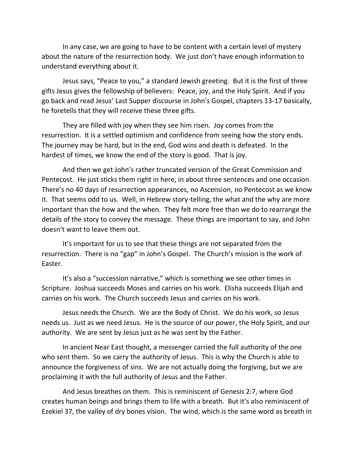In any case, we are going to have to be content with a certain level of mystery about the nature of the resurrection body. We just don't have enough information to understand everything about it.

Jesus says, "Peace to you," a standard Jewish greeting. But it is the first of three gifts Jesus gives the fellowship of believers: Peace, joy, and the Holy Spirit. And if you go back and read Jesus' Last Supper discourse in John's Gospel, chapters 13-17 basically, he foretells that they will receive these three gifts.

They are filled with joy when they see him risen. Joy comes from the resurrection. It is a settled optimism and confidence from seeing how the story ends. The journey may be hard, but in the end, God wins and death is defeated. In the hardest of times, we know the end of the story is good. That is joy.

And then we get John's rather truncated version of the Great Commission and Pentecost. He just sticks them right in here, in about three sentences and one occasion. There's no 40 days of resurrection appearances, no Ascension, no Pentecost as we know it. That seems odd to us. Well, in Hebrew story-telling, the what and the why are more important than the how and the when. They felt more free than we do to rearrange the details of the story to convey the message. These things are important to say, and John doesn't want to leave them out.

It's important for us to see that these things are not separated from the resurrection. There is no "gap" in John's Gospel. The Church's mission is the work of Easter.

It's also a "succession narrative," which is something we see other times in Scripture. Joshua succeeds Moses and carries on his work. Elisha succeeds Elijah and carries on his work. The Church succeeds Jesus and carries on his work.

Jesus needs the Church. We are the Body of Christ. We do his work, so Jesus needs us. Just as we need Jesus. He is the source of our power, the Holy Spirit, and our authority. We are sent by Jesus just as he was sent by the Father.

In ancient Near East thought, a messenger carried the full authority of the one who sent them. So we carry the authority of Jesus. This is why the Church is able to announce the forgiveness of sins. We are not actually doing the forgiving, but we are proclaiming it with the full authority of Jesus and the Father.

And Jesus breathes on them. This is reminiscent of Genesis 2:7, where God creates human beings and brings them to life with a breath. But it's also reminiscent of Ezekiel 37, the valley of dry bones vision. The wind, which is the same word as breath in